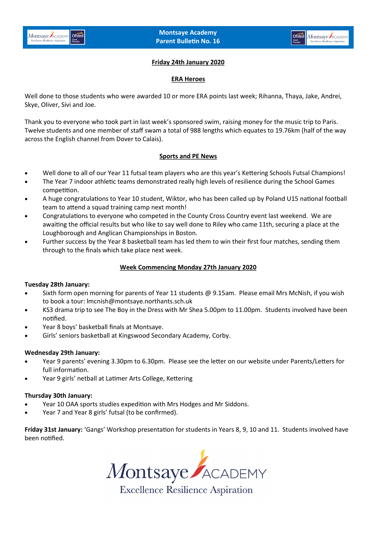### **Friday 24th January 2020**

#### **ERA Heroes**

Well done to those students who were awarded 10 or more ERA points last week; Rihanna, Thaya, Jake, Andrei, Skye, Oliver, Sivi and Joe.

Thank you to everyone who took part in last week's sponsored swim, raising money for the music trip to Paris. Twelve students and one member of staff swam a total of 988 lengths which equates to 19.76km (half of the way across the English channel from Dover to Calais).

### **Sports and PE News**

- Well done to all of our Year 11 futsal team players who are this year's Kettering Schools Futsal Champions!
- The Year 7 indoor athletic teams demonstrated really high levels of resilience during the School Games competition.
- A huge congratulations to Year 10 student, Wiktor, who has been called up by Poland U15 national football team to attend a squad training camp next month!
- Congratulations to everyone who competed in the County Cross Country event last weekend. We are awaiting the official results but who like to say well done to Riley who came 11th, securing a place at the Loughborough and Anglican Championships in Boston.
- Further success by the Year 8 basketball team has led them to win their first four matches, sending them through to the finals which take place next week.

# **Week Commencing Monday 27th January 2020**

### **Tuesday 28th January:**

- Sixth form open morning for parents of Year 11 students @ 9.15am. Please email Mrs McNish, if you wish to book a tour: lmcnish@montsaye.northants.sch.uk
- KS3 drama trip to see The Boy in the Dress with Mr Shea 5.00pm to 11.00pm. Students involved have been notified.
- Year 8 boys' basketball finals at Montsaye.
- Girls' seniors basketball at Kingswood Secondary Academy, Corby.

### **Wednesday 29th January:**

- Year 9 parents' evening 3.30pm to 6.30pm. Please see the letter on our website under Parents/Letters for full information.
- Year 9 girls' netball at Latimer Arts College, Kettering

### **Thursday 30th January:**

- Year 10 OAA sports studies expedition with Mrs Hodges and Mr Siddons.
- Year 7 and Year 8 girls' futsal (to be confirmed).

**Friday 31st January:** 'Gangs' Workshop presentation for students in Years 8, 9, 10 and 11. Students involved have been notified.

Montsaye ACADEMY

**Excellence Resilience Aspiration**